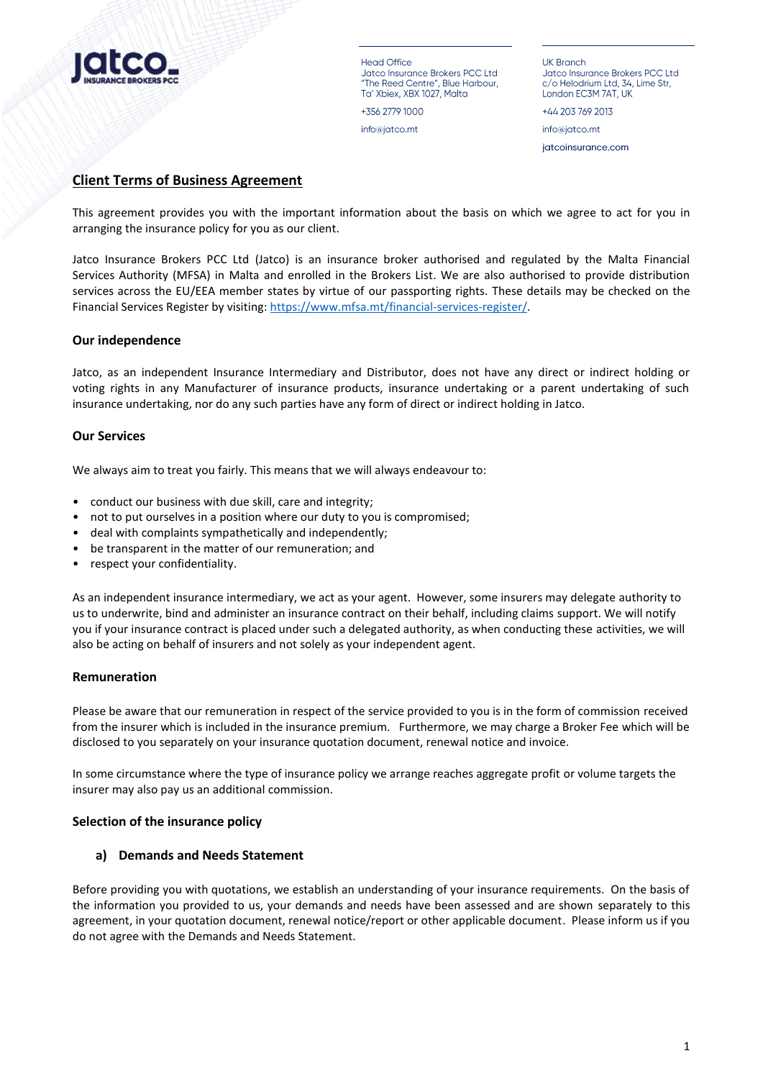

Head Office Jatco Insurance Brokers PCC Ltd "The Reed Centre", Blue Harbour, Ta' Xbiex, XBX 1027, Malta

+356 2779 1000 info@jatco.mt

**UK Branch** Jatco Insurance Brokers PCC Ltd c/o Helodrium Ltd, 34, Lime Str, London EC3M 7AT, UK

+44 203 769 2013

info@jatco.mt jatcoinsurance.com

# **Client Terms of Business Agreement**

This agreement provides you with the important information about the basis on which we agree to act for you in arranging the insurance policy for you as our client.

Jatco Insurance Brokers PCC Ltd (Jatco) is an insurance broker authorised and regulated by the Malta Financial Services Authority (MFSA) in Malta and enrolled in the Brokers List. We are also authorised to provide distribution services across the EU/EEA member states by virtue of our passporting rights. These details may be checked on the Financial Services Register by visiting: [https://www.mfsa.mt/financial-services-register/.](https://www.mfsa.mt/financial-services-register/)

## **Our independence**

Jatco, as an independent Insurance Intermediary and Distributor, does not have any direct or indirect holding or voting rights in any Manufacturer of insurance products, insurance undertaking or a parent undertaking of such insurance undertaking, nor do any such parties have any form of direct or indirect holding in Jatco.

## **Our Services**

We always aim to treat you fairly. This means that we will always endeavour to:

- conduct our business with due skill, care and integrity;
- not to put ourselves in a position where our duty to you is compromised;
- deal with complaints sympathetically and independently;
- be transparent in the matter of our remuneration; and
- respect your confidentiality.

As an independent insurance intermediary, we act as your agent. However, some insurers may delegate authority to us to underwrite, bind and administer an insurance contract on their behalf, including claims support. We will notify you if your insurance contract is placed under such a delegated authority, as when conducting these activities, we will also be acting on behalf of insurers and not solely as your independent agent.

#### **Remuneration**

Please be aware that our remuneration in respect of the service provided to you is in the form of commission received from the insurer which is included in the insurance premium. Furthermore, we may charge a Broker Fee which will be disclosed to you separately on your insurance quotation document, renewal notice and invoice.

In some circumstance where the type of insurance policy we arrange reaches aggregate profit or volume targets the insurer may also pay us an additional commission.

#### **Selection of the insurance policy**

#### **a) Demands and Needs Statement**

Before providing you with quotations, we establish an understanding of your insurance requirements. On the basis of the information you provided to us, your demands and needs have been assessed and are shown separately to this agreement, in your quotation document, renewal notice/report or other applicable document. Please inform us if you do not agree with the Demands and Needs Statement.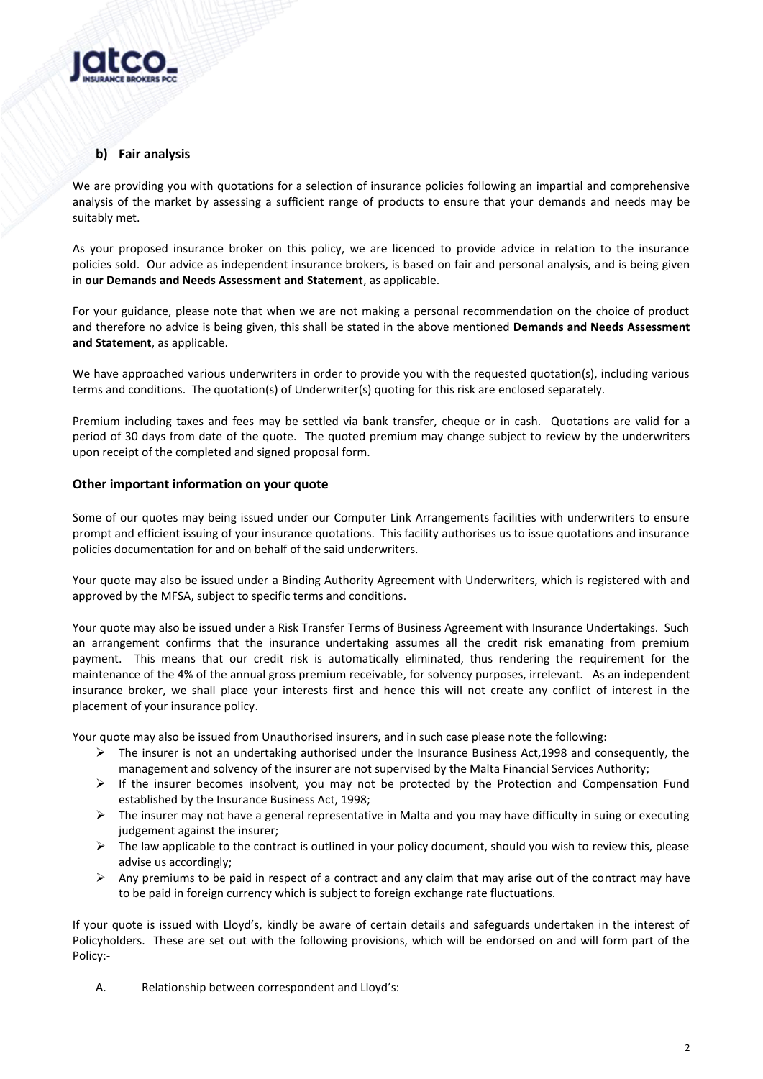

# **b) Fair analysis**

We are providing you with quotations for a selection of insurance policies following an impartial and comprehensive analysis of the market by assessing a sufficient range of products to ensure that your demands and needs may be suitably met.

As your proposed insurance broker on this policy, we are licenced to provide advice in relation to the insurance policies sold. Our advice as independent insurance brokers, is based on fair and personal analysis, and is being given in **our Demands and Needs Assessment and Statement**, as applicable.

For your guidance, please note that when we are not making a personal recommendation on the choice of product and therefore no advice is being given, this shall be stated in the above mentioned **Demands and Needs Assessment and Statement**, as applicable.

We have approached various underwriters in order to provide you with the requested quotation(s), including various terms and conditions. The quotation(s) of Underwriter(s) quoting for this risk are enclosed separately.

Premium including taxes and fees may be settled via bank transfer, cheque or in cash. Quotations are valid for a period of 30 days from date of the quote. The quoted premium may change subject to review by the underwriters upon receipt of the completed and signed proposal form.

## **Other important information on your quote**

Some of our quotes may being issued under our Computer Link Arrangements facilities with underwriters to ensure prompt and efficient issuing of your insurance quotations. This facility authorises us to issue quotations and insurance policies documentation for and on behalf of the said underwriters.

Your quote may also be issued under a Binding Authority Agreement with Underwriters, which is registered with and approved by the MFSA, subject to specific terms and conditions.

Your quote may also be issued under a Risk Transfer Terms of Business Agreement with Insurance Undertakings. Such an arrangement confirms that the insurance undertaking assumes all the credit risk emanating from premium payment. This means that our credit risk is automatically eliminated, thus rendering the requirement for the maintenance of the 4% of the annual gross premium receivable, for solvency purposes, irrelevant. As an independent insurance broker, we shall place your interests first and hence this will not create any conflict of interest in the placement of your insurance policy.

Your quote may also be issued from Unauthorised insurers, and in such case please note the following:

- $\triangleright$  The insurer is not an undertaking authorised under the Insurance Business Act, 1998 and consequently, the management and solvency of the insurer are not supervised by the Malta Financial Services Authority;
- $\triangleright$  If the insurer becomes insolvent, you may not be protected by the Protection and Compensation Fund established by the Insurance Business Act, 1998;
- $\triangleright$  The insurer may not have a general representative in Malta and you may have difficulty in suing or executing judgement against the insurer;
- $\triangleright$  The law applicable to the contract is outlined in your policy document, should you wish to review this, please advise us accordingly;
- $\triangleright$  Any premiums to be paid in respect of a contract and any claim that may arise out of the contract may have to be paid in foreign currency which is subject to foreign exchange rate fluctuations.

If your quote is issued with Lloyd's, kindly be aware of certain details and safeguards undertaken in the interest of Policyholders. These are set out with the following provisions, which will be endorsed on and will form part of the Policy:-

A. Relationship between correspondent and Lloyd's: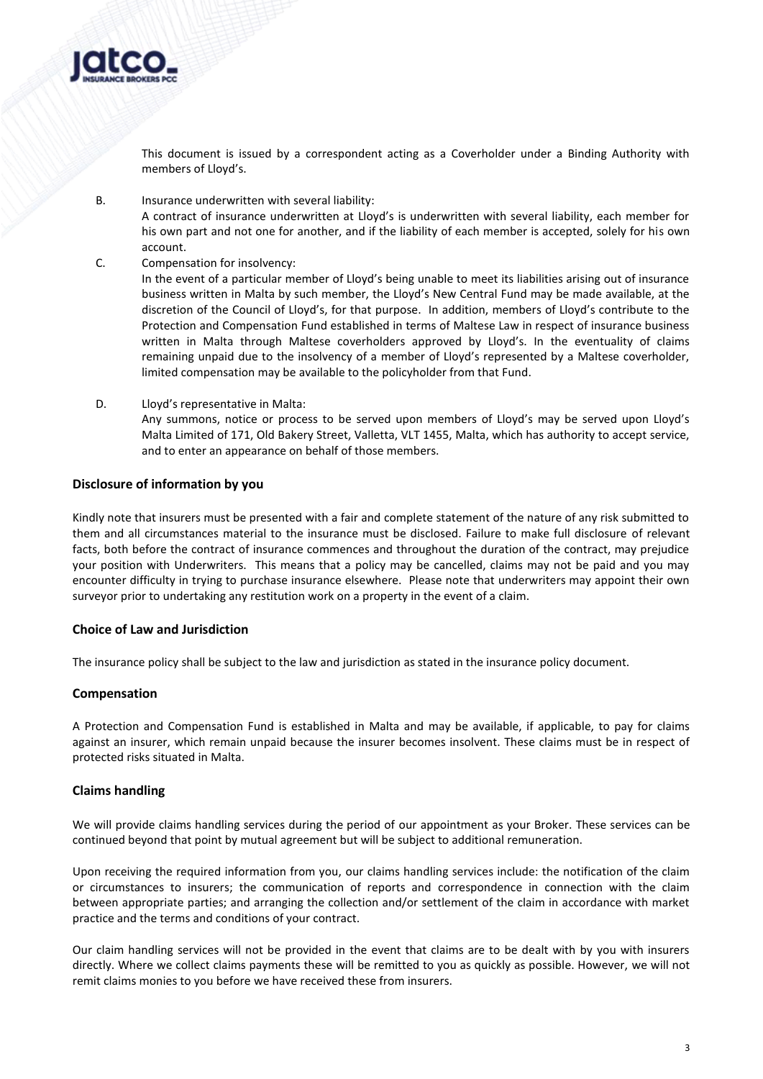

This document is issued by a correspondent acting as a Coverholder under a Binding Authority with members of Lloyd's.

B. Insurance underwritten with several liability:

A contract of insurance underwritten at Lloyd's is underwritten with several liability, each member for his own part and not one for another, and if the liability of each member is accepted, solely for his own account.

C. Compensation for insolvency:

In the event of a particular member of Lloyd's being unable to meet its liabilities arising out of insurance business written in Malta by such member, the Lloyd's New Central Fund may be made available, at the discretion of the Council of Lloyd's, for that purpose. In addition, members of Lloyd's contribute to the Protection and Compensation Fund established in terms of Maltese Law in respect of insurance business written in Malta through Maltese coverholders approved by Lloyd's. In the eventuality of claims remaining unpaid due to the insolvency of a member of Lloyd's represented by a Maltese coverholder, limited compensation may be available to the policyholder from that Fund.

D. Lloyd's representative in Malta: Any summons, notice or process to be served upon members of Lloyd's may be served upon Lloyd's Malta Limited of 171, Old Bakery Street, Valletta, VLT 1455, Malta, which has authority to accept service, and to enter an appearance on behalf of those members.

## **Disclosure of information by you**

Kindly note that insurers must be presented with a fair and complete statement of the nature of any risk submitted to them and all circumstances material to the insurance must be disclosed. Failure to make full disclosure of relevant facts, both before the contract of insurance commences and throughout the duration of the contract, may prejudice your position with Underwriters. This means that a policy may be cancelled, claims may not be paid and you may encounter difficulty in trying to purchase insurance elsewhere. Please note that underwriters may appoint their own surveyor prior to undertaking any restitution work on a property in the event of a claim.

#### **Choice of Law and Jurisdiction**

The insurance policy shall be subject to the law and jurisdiction as stated in the insurance policy document.

#### **Compensation**

A Protection and Compensation Fund is established in Malta and may be available, if applicable, to pay for claims against an insurer, which remain unpaid because the insurer becomes insolvent. These claims must be in respect of protected risks situated in Malta.

## **Claims handling**

We will provide claims handling services during the period of our appointment as your Broker. These services can be continued beyond that point by mutual agreement but will be subject to additional remuneration.

Upon receiving the required information from you, our claims handling services include: the notification of the claim or circumstances to insurers; the communication of reports and correspondence in connection with the claim between appropriate parties; and arranging the collection and/or settlement of the claim in accordance with market practice and the terms and conditions of your contract.

Our claim handling services will not be provided in the event that claims are to be dealt with by you with insurers directly. Where we collect claims payments these will be remitted to you as quickly as possible. However, we will not remit claims monies to you before we have received these from insurers.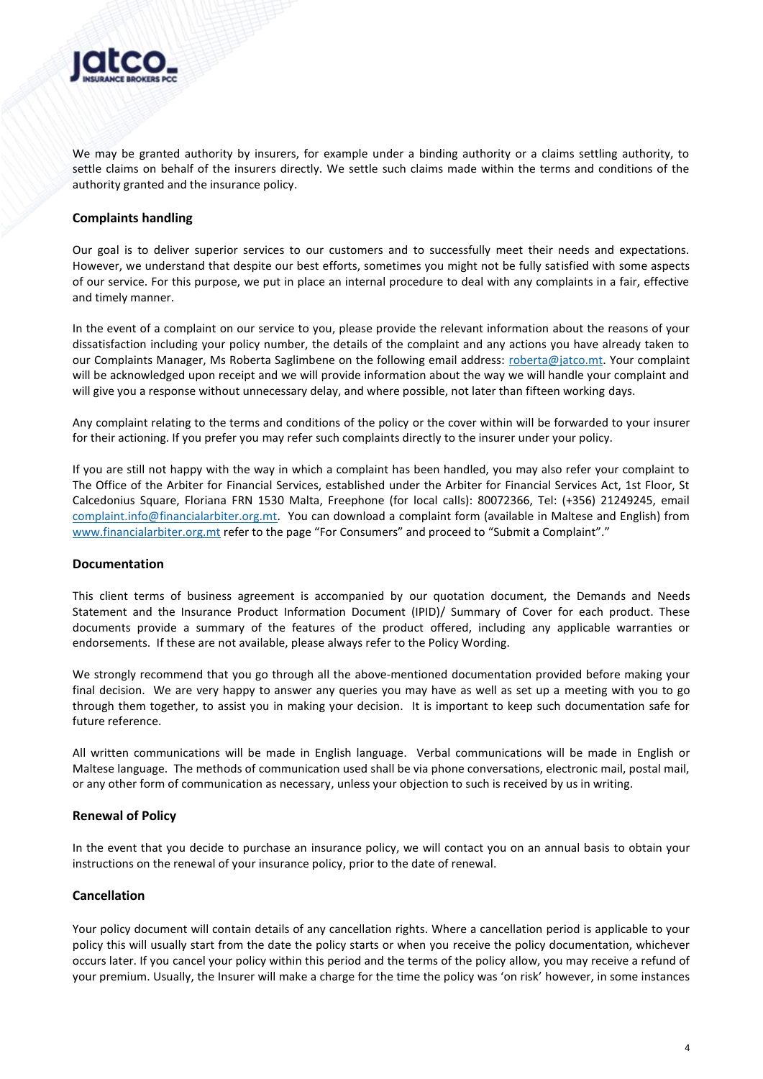

We may be granted authority by insurers, for example under a binding authority or a claims settling authority, to settle claims on behalf of the insurers directly. We settle such claims made within the terms and conditions of the authority granted and the insurance policy.

## **Complaints handling**

Our goal is to deliver superior services to our customers and to successfully meet their needs and expectations. However, we understand that despite our best efforts, sometimes you might not be fully satisfied with some aspects of our service. For this purpose, we put in place an internal procedure to deal with any complaints in a fair, effective and timely manner.

In the event of a complaint on our service to you, please provide the relevant information about the reasons of your dissatisfaction including your policy number, the details of the complaint and any actions you have already taken to our Complaints Manager, Ms Roberta Saglimbene on the following email address: [roberta@jatco.mt.](mailto:roberta@jatco.mt) Your complaint will be acknowledged upon receipt and we will provide information about the way we will handle your complaint and will give you a response without unnecessary delay, and where possible, not later than fifteen working days.

Any complaint relating to the terms and conditions of the policy or the cover within will be forwarded to your insurer for their actioning. If you prefer you may refer such complaints directly to the insurer under your policy.

If you are still not happy with the way in which a complaint has been handled, you may also refer your complaint to The Office of the Arbiter for Financial Services, established under the Arbiter for Financial Services Act, 1st Floor, St Calcedonius Square, Floriana FRN 1530 Malta, Freephone (for local calls): 80072366, Tel: (+356) 21249245, email [complaint.info@financialarbiter.org.mt.](mailto:complaint.info@financialarbiter.org.mt) You can download a complaint form (available in Maltese and English) from [www.financialarbiter.org.mt](http://www.financialarbiter.org.mt/) refer to the page "For Consumers" and proceed to "Submit a Complaint"."

#### **Documentation**

This client terms of business agreement is accompanied by our quotation document, the Demands and Needs Statement and the Insurance Product Information Document (IPID)/ Summary of Cover for each product. These documents provide a summary of the features of the product offered, including any applicable warranties or endorsements. If these are not available, please always refer to the Policy Wording.

We strongly recommend that you go through all the above-mentioned documentation provided before making your final decision. We are very happy to answer any queries you may have as well as set up a meeting with you to go through them together, to assist you in making your decision. It is important to keep such documentation safe for future reference.

All written communications will be made in English language. Verbal communications will be made in English or Maltese language. The methods of communication used shall be via phone conversations, electronic mail, postal mail, or any other form of communication as necessary, unless your objection to such is received by us in writing.

#### **Renewal of Policy**

In the event that you decide to purchase an insurance policy, we will contact you on an annual basis to obtain your instructions on the renewal of your insurance policy, prior to the date of renewal.

#### **Cancellation**

Your policy document will contain details of any cancellation rights. Where a cancellation period is applicable to your policy this will usually start from the date the policy starts or when you receive the policy documentation, whichever occurs later. If you cancel your policy within this period and the terms of the policy allow, you may receive a refund of your premium. Usually, the Insurer will make a charge for the time the policy was 'on risk' however, in some instances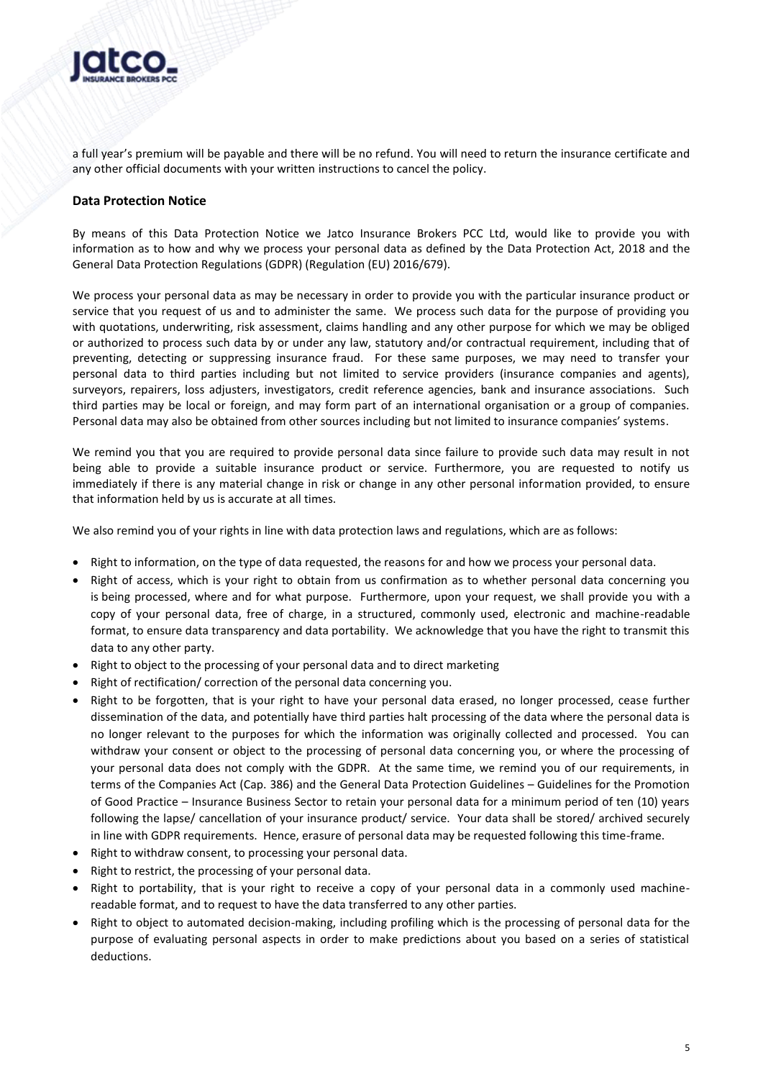

a full year's premium will be payable and there will be no refund. You will need to return the insurance certificate and any other official documents with your written instructions to cancel the policy.

## **Data Protection Notice**

By means of this Data Protection Notice we Jatco Insurance Brokers PCC Ltd, would like to provide you with information as to how and why we process your personal data as defined by the Data Protection Act, 2018 and the General Data Protection Regulations (GDPR) (Regulation (EU) 2016/679).

We process your personal data as may be necessary in order to provide you with the particular insurance product or service that you request of us and to administer the same. We process such data for the purpose of providing you with quotations, underwriting, risk assessment, claims handling and any other purpose for which we may be obliged or authorized to process such data by or under any law, statutory and/or contractual requirement, including that of preventing, detecting or suppressing insurance fraud. For these same purposes, we may need to transfer your personal data to third parties including but not limited to service providers (insurance companies and agents), surveyors, repairers, loss adjusters, investigators, credit reference agencies, bank and insurance associations. Such third parties may be local or foreign, and may form part of an international organisation or a group of companies. Personal data may also be obtained from other sources including but not limited to insurance companies' systems.

We remind you that you are required to provide personal data since failure to provide such data may result in not being able to provide a suitable insurance product or service. Furthermore, you are requested to notify us immediately if there is any material change in risk or change in any other personal information provided, to ensure that information held by us is accurate at all times.

We also remind you of your rights in line with data protection laws and regulations, which are as follows:

- Right to information, on the type of data requested, the reasons for and how we process your personal data.
- Right of access, which is your right to obtain from us confirmation as to whether personal data concerning you is being processed, where and for what purpose. Furthermore, upon your request, we shall provide you with a copy of your personal data, free of charge, in a structured, commonly used, electronic and machine-readable format, to ensure data transparency and data portability. We acknowledge that you have the right to transmit this data to any other party.
- Right to object to the processing of your personal data and to direct marketing
- Right of rectification/ correction of the personal data concerning you.
- Right to be forgotten, that is your right to have your personal data erased, no longer processed, cease further dissemination of the data, and potentially have third parties halt processing of the data where the personal data is no longer relevant to the purposes for which the information was originally collected and processed. You can withdraw your consent or object to the processing of personal data concerning you, or where the processing of your personal data does not comply with the GDPR. At the same time, we remind you of our requirements, in terms of the Companies Act (Cap. 386) and the General Data Protection Guidelines – Guidelines for the Promotion of Good Practice – Insurance Business Sector to retain your personal data for a minimum period of ten (10) years following the lapse/ cancellation of your insurance product/ service. Your data shall be stored/ archived securely in line with GDPR requirements. Hence, erasure of personal data may be requested following this time-frame.
- Right to withdraw consent, to processing your personal data.
- Right to restrict, the processing of your personal data.
- Right to portability, that is your right to receive a copy of your personal data in a commonly used machinereadable format, and to request to have the data transferred to any other parties.
- Right to object to automated decision-making, including profiling which is the processing of personal data for the purpose of evaluating personal aspects in order to make predictions about you based on a series of statistical deductions.